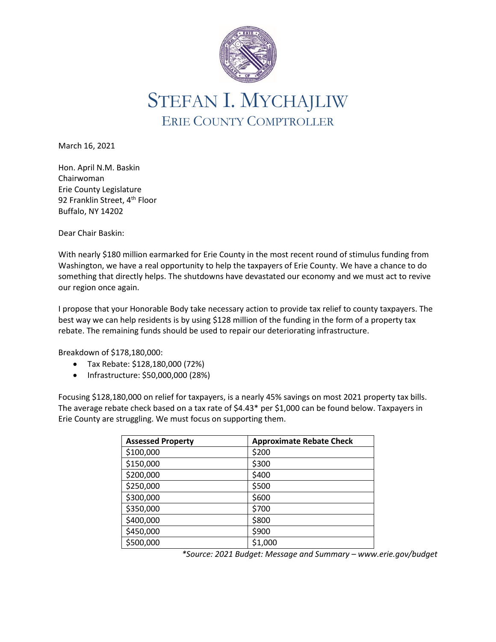

STEFAN I. MYCHAJLIW ERIE COUNTY COMPTROLLER

March 16, 2021

Hon. April N.M. Baskin Chairwoman Erie County Legislature 92 Franklin Street, 4<sup>th</sup> Floor Buffalo, NY 14202

Dear Chair Baskin:

With nearly \$180 million earmarked for Erie County in the most recent round of stimulus funding from Washington, we have a real opportunity to help the taxpayers of Erie County. We have a chance to do something that directly helps. The shutdowns have devastated our economy and we must act to revive our region once again.

I propose that your Honorable Body take necessary action to provide tax relief to county taxpayers. The best way we can help residents is by using \$128 million of the funding in the form of a property tax rebate. The remaining funds should be used to repair our deteriorating infrastructure.

Breakdown of \$178,180,000:

- Tax Rebate: \$128,180,000 (72%)
- Infrastructure: \$50,000,000 (28%)

Focusing \$128,180,000 on relief for taxpayers, is a nearly 45% savings on most 2021 property tax bills. The average rebate check based on a tax rate of \$4.43\* per \$1,000 can be found below. Taxpayers in Erie County are struggling. We must focus on supporting them.

| <b>Assessed Property</b> | <b>Approximate Rebate Check</b> |
|--------------------------|---------------------------------|
| \$100,000                | \$200                           |
| \$150,000                | \$300                           |
| \$200,000                | \$400                           |
| \$250,000                | \$500                           |
| \$300,000                | \$600                           |
| \$350,000                | \$700                           |
| \$400,000                | \$800                           |
| \$450,000                | \$900                           |
| \$500,000                | \$1,000                         |

*\*Source: 2021 Budget: Message and Summary – www.erie.gov/budget*